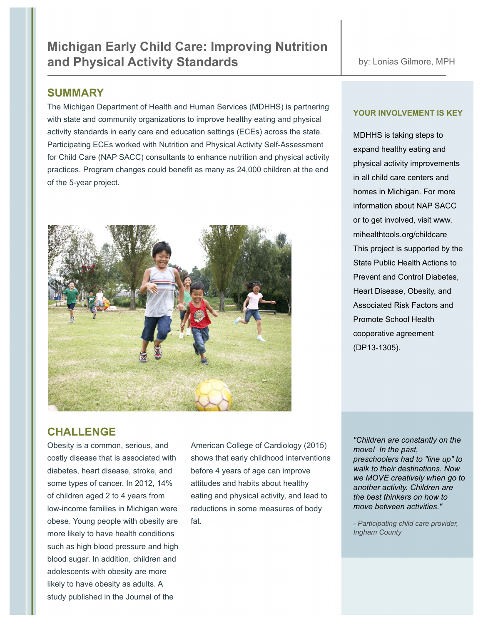# **SUMMARY**

The Michigan Department of Health and Human Services (MDHHS) is partnering with state and community organizations to improve healthy eating and physical activity standards in early care and education settings (ECEs) across the state. Participating ECEs worked with Nutrition and Physical Activity Self-Assessment for Child Care (NAP SACC) consultants to enhance nutrition and physical activity practices. Program changes could benefit as many as 24,000 children at the end of the 5-year project.



## **YOUR INVOLVEMENT IS KEY**

MDHHS is taking steps to expand healthy eating and physical activity improvements in all child care centers and homes in Michigan. For more information about NAP SACC or to get involved, visit www. mihealthtools.org/childcare This project is supported by the State Public Health Actions to Prevent and Control Diabetes, Heart Disease, Obesity, and Associated Risk Factors and Promote School Health cooperative agreement (DP13-1305).

# **CHALLENGE**

diabetes, heart disease, stroke, and before 4 years of age can improve some types of cancer. In 2012, 14% attitudes and habits about healthy low-income families in Michigan were reductions in some measures of body obese. Young people with obesity are fat. more likely to have health conditions such as high blood pressure and high blood sugar. In addition, children and adolescents with obesity are more likely to have obesity as adults. A study published in the Journal of the

Obesity is a common, serious, and American College of Cardiology (2015) costly disease that is associated with shows that early childhood interventions of children aged 2 to 4 years from eating and physical activity, and lead to

*"Children are constantly on the move! In the past, preschoolers had to "line up" to walk to their destinations. Now we MOVE creatively when go to another activity. Children are the best thinkers on how to move between activities."*

*- Participating child care provider, Ingham County*